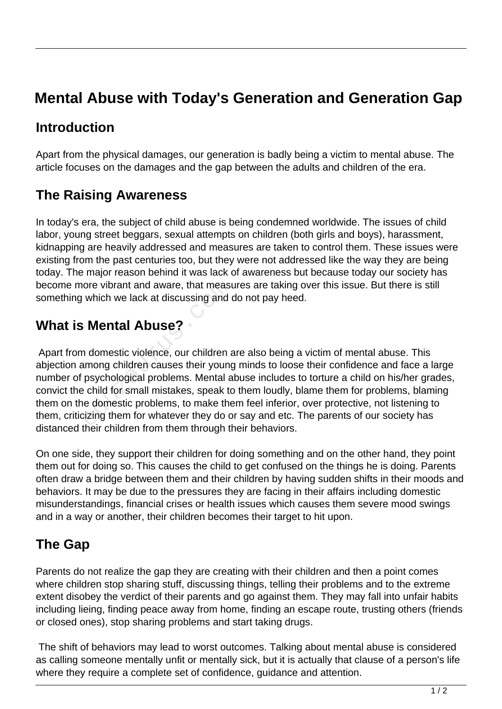# **Mental Abuse with Today's Generation and Generation Gap**

#### **Introduction**

Apart from the physical damages, our generation is badly being a victim to mental abuse. The article focuses on the damages and the gap between the adults and children of the era.

## **The Raising Awareness**

In today's era, the subject of child abuse is being condemned worldwide. The issues of child labor, young street beggars, sexual attempts on children (both girls and boys), harassment, kidnapping are heavily addressed and measures are taken to control them. These issues were existing from the past centuries too, but they were not addressed like the way they are being today. The major reason behind it was lack of awareness but because today our society has become more vibrant and aware, that measures are taking over this issue. But there is still something which we lack at discussing and do not pay heed.

## **What is Mental Abuse?**

 Apart from domestic violence, our children are also being a victim of mental abuse. This abjection among children causes their young minds to loose their confidence and face a large number of psychological problems. Mental abuse includes to torture a child on his/her grades, convict the child for small mistakes, speak to them loudly, blame them for problems, blaming them on the domestic problems, to make them feel inferior, over protective, not listening to them, criticizing them for whatever they do or say and etc. The parents of our society has distanced their children from them through their behaviors. ore vibrant and aware, that measu<br>which we lack at discussing and of<br>**Mental Abuse?**<br>an domestic violence, our children a<br>among children causes their young<br>psychological problems. Mental a<br>e child for small mistakes, speak

On one side, they support their children for doing something and on the other hand, they point them out for doing so. This causes the child to get confused on the things he is doing. Parents often draw a bridge between them and their children by having sudden shifts in their moods and behaviors. It may be due to the pressures they are facing in their affairs including domestic misunderstandings, financial crises or health issues which causes them severe mood swings and in a way or another, their children becomes their target to hit upon.

## **The Gap**

Parents do not realize the gap they are creating with their children and then a point comes where children stop sharing stuff, discussing things, telling their problems and to the extreme extent disobey the verdict of their parents and go against them. They may fall into unfair habits including lieing, finding peace away from home, finding an escape route, trusting others (friends or closed ones), stop sharing problems and start taking drugs.

 The shift of behaviors may lead to worst outcomes. Talking about mental abuse is considered as calling someone mentally unfit or mentally sick, but it is actually that clause of a person's life where they require a complete set of confidence, guidance and attention.